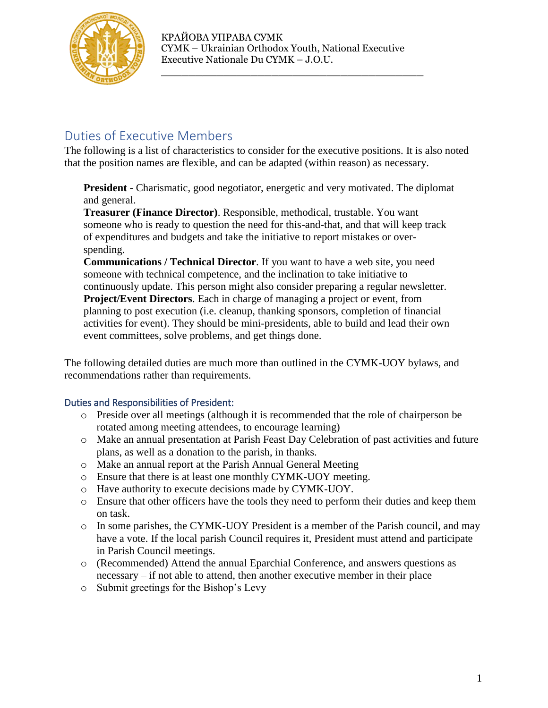

\_\_\_\_\_\_\_\_\_\_\_\_\_\_\_\_\_\_\_\_\_\_\_\_\_\_\_\_\_\_\_\_\_\_\_\_\_\_

# Duties of Executive Members

The following is a list of characteristics to consider for the executive positions. It is also noted that the position names are flexible, and can be adapted (within reason) as necessary.

**President** - Charismatic, good negotiator, energetic and very motivated. The diplomat and general.

**Treasurer (Finance Director)**. Responsible, methodical, trustable. You want someone who is ready to question the need for this-and-that, and that will keep track of expenditures and budgets and take the initiative to report mistakes or overspending.

**Communications / Technical Director**. If you want to have a web site, you need someone with technical competence, and the inclination to take initiative to continuously update. This person might also consider preparing a regular newsletter. **Project/Event Directors**. Each in charge of managing a project or event, from planning to post execution (i.e. cleanup, thanking sponsors, completion of financial activities for event). They should be mini-presidents, able to build and lead their own event committees, solve problems, and get things done.

The following detailed duties are much more than outlined in the CYMK-UOY bylaws, and recommendations rather than requirements.

# Duties and Responsibilities of President:

- o Preside over all meetings (although it is recommended that the role of chairperson be rotated among meeting attendees, to encourage learning)
- o Make an annual presentation at Parish Feast Day Celebration of past activities and future plans, as well as a donation to the parish, in thanks.
- o Make an annual report at the Parish Annual General Meeting
- o Ensure that there is at least one monthly CYMK-UOY meeting.
- o Have authority to execute decisions made by CYMK-UOY.
- o Ensure that other officers have the tools they need to perform their duties and keep them on task.
- o In some parishes, the CYMK-UOY President is a member of the Parish council, and may have a vote. If the local parish Council requires it, President must attend and participate in Parish Council meetings.
- o (Recommended) Attend the annual Eparchial Conference, and answers questions as necessary – if not able to attend, then another executive member in their place
- o Submit greetings for the Bishop's Levy